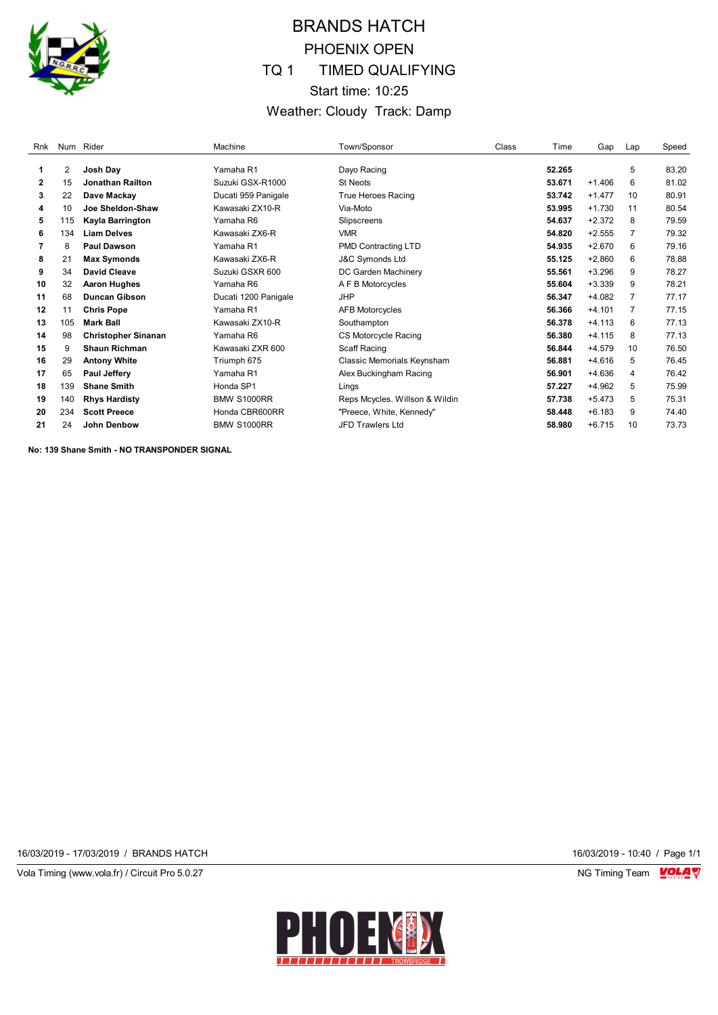

# BRANDS HATCH PHOENIX OPEN TQ 1 TIMED QUALIFYING Start time: 10:25 Weather: Cloudy Track: Damp

| Rnk |     | Num Rider                  | Machine              | Town/Sponsor                   | Class | Time   | Gap      | Lap            | Speed |
|-----|-----|----------------------------|----------------------|--------------------------------|-------|--------|----------|----------------|-------|
| 1   | 2   | Josh Day                   | Yamaha R1            | Dayo Racing                    |       | 52.265 |          | 5              | 83.20 |
| 2   | 15  | Jonathan Railton           | Suzuki GSX-R1000     | <b>St Neots</b>                |       | 53.671 | $+1.406$ | 6              | 81.02 |
|     |     |                            |                      |                                |       |        |          |                |       |
| 3   | 22  | Dave Mackav                | Ducati 959 Panigale  | <b>True Heroes Racing</b>      |       | 53.742 | $+1.477$ | 10             | 80.91 |
| 4   | 10  | Joe Sheldon-Shaw           | Kawasaki ZX10-R      | Via-Moto                       |       | 53.995 | $+1.730$ | 11             | 80.54 |
| 5   | 115 | Kayla Barrington           | Yamaha R6            | Slipscreens                    |       | 54.637 | $+2.372$ | 8              | 79.59 |
| 6   | 134 | <b>Liam Delves</b>         | Kawasaki ZX6-R       | <b>VMR</b>                     |       | 54.820 | $+2.555$ | 7              | 79.32 |
| 7   | 8   | <b>Paul Dawson</b>         | Yamaha R1            | <b>PMD Contracting LTD</b>     |       | 54.935 | $+2.670$ | 6              | 79.16 |
| 8   | 21  | <b>Max Symonds</b>         | Kawasaki ZX6-R       | <b>J&amp;C Symonds Ltd</b>     |       | 55.125 | $+2.860$ | 6              | 78.88 |
| 9   | 34  | <b>David Cleave</b>        | Suzuki GSXR 600      | DC Garden Machinery            |       | 55.561 | $+3.296$ | 9              | 78.27 |
| 10  | 32  | <b>Aaron Hughes</b>        | Yamaha R6            | A F B Motorcycles              |       | 55.604 | $+3.339$ | 9              | 78.21 |
| 11  | 68  | <b>Duncan Gibson</b>       | Ducati 1200 Panigale | <b>JHP</b>                     |       | 56.347 | $+4.082$ | 7              | 77.17 |
| 12  | 11  | <b>Chris Pope</b>          | Yamaha R1            | <b>AFB Motorcycles</b>         |       | 56.366 | $+4.101$ | $\overline{7}$ | 77.15 |
| 13  | 105 | <b>Mark Ball</b>           | Kawasaki ZX10-R      | Southampton                    |       | 56.378 | $+4.113$ | 6              | 77.13 |
| 14  | 98  | <b>Christopher Sinanan</b> | Yamaha R6            | CS Motorcycle Racing           |       | 56.380 | $+4.115$ | 8              | 77.13 |
| 15  | 9   | <b>Shaun Richman</b>       | Kawasaki ZXR 600     | Scaff Racing                   |       | 56.844 | $+4.579$ | 10             | 76.50 |
| 16  | 29  | <b>Antony White</b>        | Triumph 675          | Classic Memorials Keynsham     |       | 56.881 | $+4.616$ | 5              | 76.45 |
| 17  | 65  | <b>Paul Jeffery</b>        | Yamaha R1            | Alex Buckingham Racing         |       | 56.901 | $+4.636$ | 4              | 76.42 |
| 18  | 139 | <b>Shane Smith</b>         | Honda SP1            | Lings                          |       | 57.227 | $+4.962$ | 5              | 75.99 |
| 19  | 140 | <b>Rhys Hardisty</b>       | <b>BMW S1000RR</b>   | Reps Mcycles. Willson & Wildin |       | 57.738 | $+5.473$ | 5              | 75.31 |
| 20  | 234 | <b>Scott Preece</b>        | Honda CBR600RR       | "Preece, White, Kennedy"       |       | 58.448 | $+6.183$ | 9              | 74.40 |
| 21  | 24  | John Denbow                | <b>BMW S1000RR</b>   | <b>JFD Trawlers Ltd</b>        |       | 58.980 | $+6.715$ | 10             | 73.73 |

**No: 139 Shane Smith - NO TRANSPONDER SIGNAL**

16/03/2019 - 17/03/2019 / BRANDS HATCH 16/03/2019 - 10:40 / Page 1/1

Vola Timing (www.vola.fr) / Circuit Pro 5.0.27 NG Timing Team VOLA V

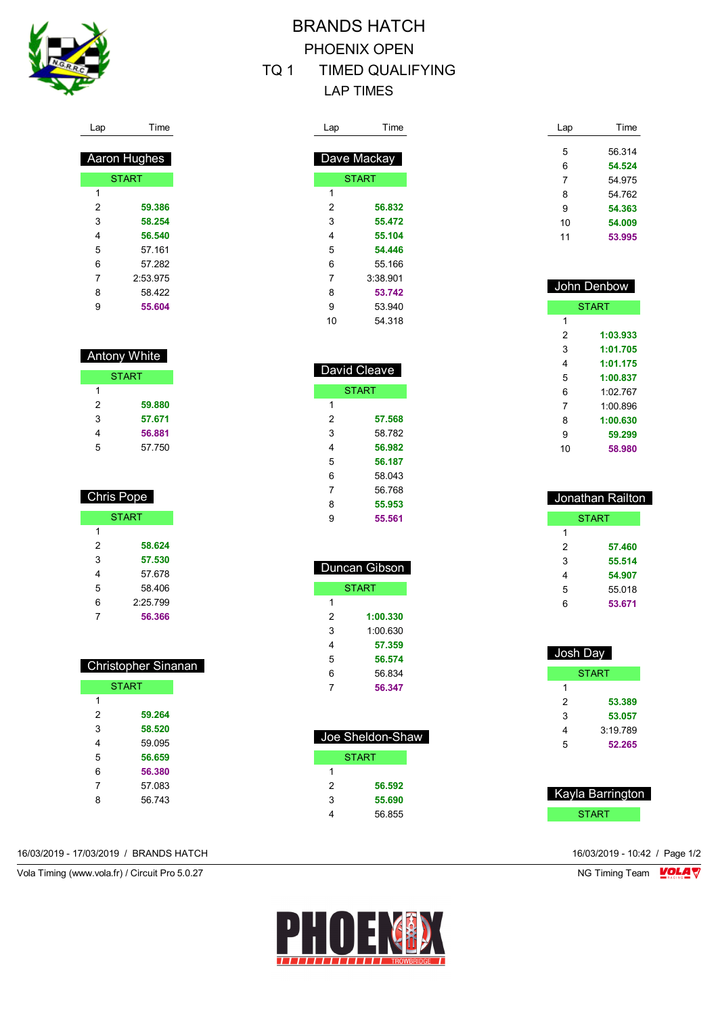

Lap Time

 Aaron Hughes **START** 

 **59.386 58.254 56.540** 57.161 57.282 2:53.975 58.422 **55.604**

 Antony White **START** 

> **59.880 57.671 56.881** 57.750

 Chris Pope START

> **58.624 57.530** 57.678 58.406 2:25.799 **56.366**

 Christopher Sinanan **START** 

 **59.264 58.520** 59.095 **56.659 56.380** 57.083 56.743

 $\overline{1}$ 

# BRANDS HATCH PHOENIX OPEN

## TQ 1 TIMED QUALIFYING LAP TIMES

Time

 **56.832 55.472 55.104 54.446** 55.166 3:38.901

| Lap | Time         |
|-----|--------------|
|     |              |
|     | Dave Mackay  |
|     | <b>START</b> |
| 1   |              |
| 2   | 56.832       |
| 3   | 55.472       |
| 4   | 55.104       |
| 5   | 54.446       |
| 6   | 55.166       |
| 7   | 3:38.901     |
| 8   | 53.742       |
| 9   | 53.940       |
|     |              |

| 8  | 53.742       |
|----|--------------|
| 9  | 53 940       |
| 10 | 54 318       |
|    |              |
|    |              |
|    |              |
|    | David Cleave |
|    | <b>START</b> |
| 1  |              |
| 2  | 57.568       |

| 1              |        |
|----------------|--------|
| $\overline{2}$ | 57.568 |
| 3              | 58.782 |
| 4              | 56.982 |
| 5              | 56.187 |
| 6              | 58.043 |
| 7              | 56.768 |
| 8              | 55.953 |
| 9              | 55.561 |

| Duncan Gibson |          |  |  |  |
|---------------|----------|--|--|--|
| <b>START</b>  |          |  |  |  |
| 1             |          |  |  |  |
| 2             | 1:00.330 |  |  |  |
| 3             | 1:00.630 |  |  |  |
| 4             | 57.359   |  |  |  |
| 5             | 56.574   |  |  |  |
| 6             | 56.834   |  |  |  |
|               | 56.347   |  |  |  |

|   | Joe Sheldon-Shaw |
|---|------------------|
|   | <b>START</b>     |
|   |                  |
| 2 | 56.592           |
| 3 | 55.690           |
|   | 56 855           |

| Lap | Time   |
|-----|--------|
|     |        |
| 5   | 56.314 |
| 6   | 54.524 |
| 7   | 54 975 |
| 8   | 54.762 |
| 9   | 54.363 |
| 10  | 54.009 |
| 11  | 53.995 |

| John Denbow  |          |  |  |  |
|--------------|----------|--|--|--|
| <b>START</b> |          |  |  |  |
| 1            |          |  |  |  |
| 2            | 1:03.933 |  |  |  |
| 3            | 1:01.705 |  |  |  |
| 4            | 1:01.175 |  |  |  |
| 5            | 1:00.837 |  |  |  |
| 6            | 1:02 767 |  |  |  |
| 7            | 1:00.896 |  |  |  |
| 8            | 1:00.630 |  |  |  |
| 9            | 59.299   |  |  |  |
| 10           | 58.980   |  |  |  |
|              |          |  |  |  |

| Jonathan Railton |        |  |  |  |
|------------------|--------|--|--|--|
|                  | START  |  |  |  |
| 1                |        |  |  |  |
| 2                | 57.460 |  |  |  |
| 3                | 55.514 |  |  |  |
| 4                | 54.907 |  |  |  |
| 5                | 55.018 |  |  |  |
| 6                | 53.671 |  |  |  |

| Josh Day     |          |  |
|--------------|----------|--|
| <b>START</b> |          |  |
| 1            |          |  |
| 2            | 53.389   |  |
| 3            | 53.057   |  |
| 4            | 3:19.789 |  |
| 5            | 52.265   |  |

| Kayla Barrington |  |
|------------------|--|
| <b>START</b>     |  |

| 16/03/2019 - 17/03/2019 / BRANDS HATCH | 16/03/2019 - 10:42 / Page 1/2 |  |
|----------------------------------------|-------------------------------|--|
|                                        |                               |  |

Vola Timing (www.vola.fr) / Circuit Pro 5.0.27 NG Timing Team VOLA V

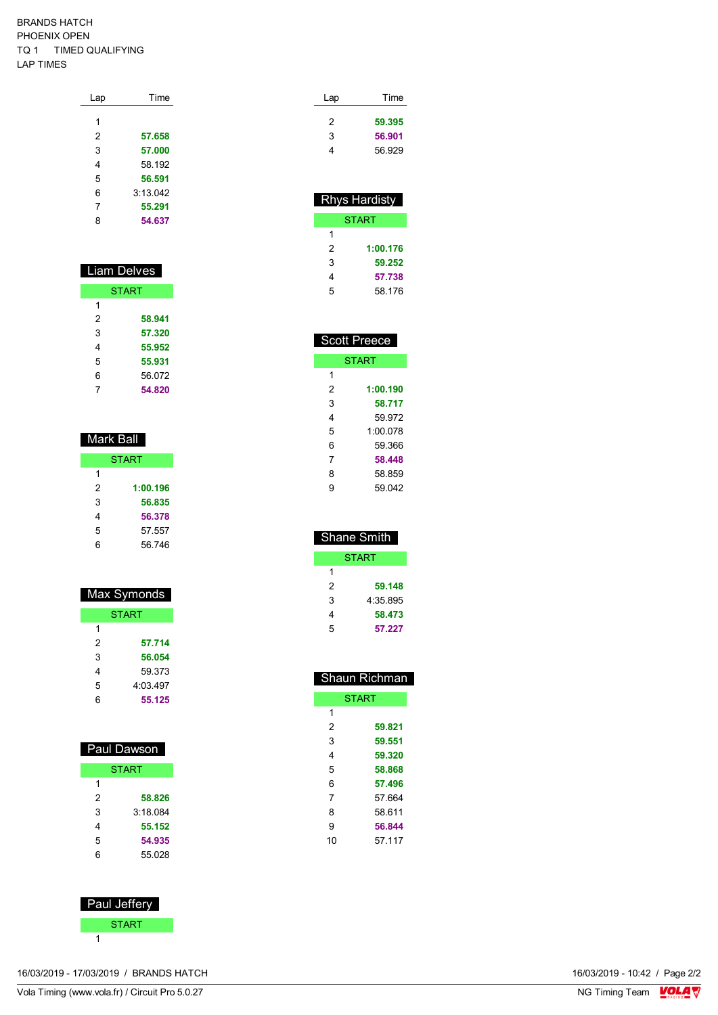#### BRANDS HATCH PHOENIX OPEN TQ 1 TIMED QUALIFYING LAP TIMES

| Lap | Time     |
|-----|----------|
|     |          |
| 1   |          |
| 2   | 57.658   |
| 3   | 57.000   |
| 4   | 58.192   |
| 5   | 56.591   |
| 6   | 3:13.042 |
| 7   | 55.291   |
| 8   | 54.637   |
|     |          |

| <b>Liam Delves</b> |        |  |  |  |  |  |
|--------------------|--------|--|--|--|--|--|
| <b>START</b>       |        |  |  |  |  |  |
| 1                  |        |  |  |  |  |  |
| 2                  | 58.941 |  |  |  |  |  |
| 3<br>57.320        |        |  |  |  |  |  |
| 4<br>55.952        |        |  |  |  |  |  |
| 5                  | 55.931 |  |  |  |  |  |
| 6                  | 56.072 |  |  |  |  |  |
| 7                  | 54.820 |  |  |  |  |  |

| Mark Ball    |          |  |  |  |  |  |
|--------------|----------|--|--|--|--|--|
| <b>START</b> |          |  |  |  |  |  |
| 1            |          |  |  |  |  |  |
| 2            | 1:00.196 |  |  |  |  |  |
| 3            | 56.835   |  |  |  |  |  |
| 4            | 56.378   |  |  |  |  |  |
| 5            | 57.557   |  |  |  |  |  |
| 6            | 56 746   |  |  |  |  |  |

| <b>Max Symonds</b> |          |  |  |  |  |
|--------------------|----------|--|--|--|--|
| <b>START</b>       |          |  |  |  |  |
| 1                  |          |  |  |  |  |
| 2                  | 57.714   |  |  |  |  |
| 3                  | 56.054   |  |  |  |  |
| 4                  | 59 373   |  |  |  |  |
| 5                  | 4:03.497 |  |  |  |  |
| 6                  | 55.125   |  |  |  |  |

| Paul Dawson  |         |  |  |  |  |
|--------------|---------|--|--|--|--|
| <b>START</b> |         |  |  |  |  |
| 1            |         |  |  |  |  |
| 2            | 58.826  |  |  |  |  |
| 3            | 3.18084 |  |  |  |  |
| 4            | 55.152  |  |  |  |  |
| 5            | 54.935  |  |  |  |  |
| հ            | 55 028  |  |  |  |  |
|              |         |  |  |  |  |



| Time   | Lap |  |
|--------|-----|--|
| 59.395 | 2   |  |
| 56.901 | 3   |  |
| 56.929 | 4   |  |
|        |     |  |

| <b>Rhys Hardisty</b> |          |  |  |  |  |  |
|----------------------|----------|--|--|--|--|--|
| START                |          |  |  |  |  |  |
| 1                    |          |  |  |  |  |  |
| 2                    | 1:00.176 |  |  |  |  |  |
| 3                    | 59.252   |  |  |  |  |  |
| 4                    | 57.738   |  |  |  |  |  |
| 5                    | 58 176   |  |  |  |  |  |

| <b>Scott Preece</b> |          |  |  |  |  |  |
|---------------------|----------|--|--|--|--|--|
| <b>START</b>        |          |  |  |  |  |  |
| 1                   |          |  |  |  |  |  |
| 2                   | 1:00.190 |  |  |  |  |  |
| 3                   | 58.717   |  |  |  |  |  |
| 4                   | 59 972   |  |  |  |  |  |
| 5                   | 1:00 078 |  |  |  |  |  |
| 6                   | 59 366   |  |  |  |  |  |
| 7                   | 58.448   |  |  |  |  |  |
| 8                   | 58.859   |  |  |  |  |  |
| 9                   | 59 042   |  |  |  |  |  |

| Shane Smith   |        |  |  |  |  |
|---------------|--------|--|--|--|--|
| START         |        |  |  |  |  |
| 1             |        |  |  |  |  |
| 2<br>59.148   |        |  |  |  |  |
| 3<br>4:35.895 |        |  |  |  |  |
| 4             | 58.473 |  |  |  |  |
| 5             | 57.227 |  |  |  |  |

| <b>Shaun Richman</b> |        |  |  |  |  |
|----------------------|--------|--|--|--|--|
| <b>START</b>         |        |  |  |  |  |
| 1                    |        |  |  |  |  |
| 2                    | 59.821 |  |  |  |  |
| 3                    | 59.551 |  |  |  |  |
| 4                    | 59.320 |  |  |  |  |
| 5                    | 58.868 |  |  |  |  |
| 6                    | 57.496 |  |  |  |  |
| 7                    | 57.664 |  |  |  |  |
| 8                    | 58 611 |  |  |  |  |
| 9                    | 56.844 |  |  |  |  |
| 10                   | 57 117 |  |  |  |  |

16/03/2019 - 17/03/2019 / BRANDS HATCH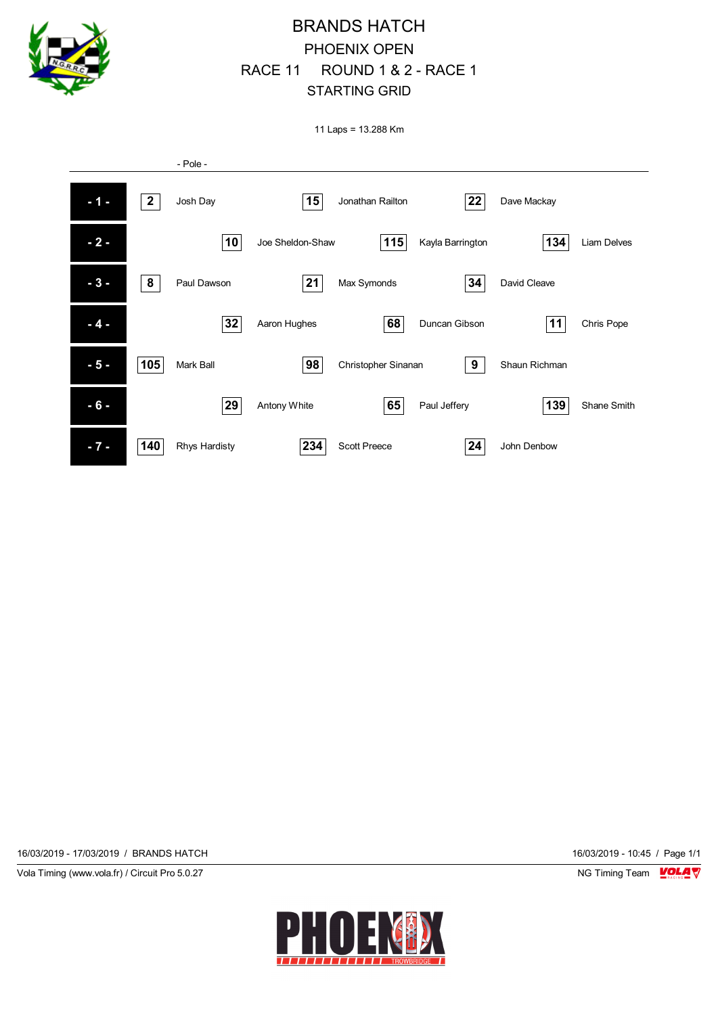

## BRANDS HATCH PHOENIX OPEN RACE 11 ROUND 1 & 2 - RACE 1 STARTING GRID

11 Laps = 13.288 Km



16/03/2019 - 17/03/2019 / BRANDS HATCH 16/03/2019 - 10:45 / Page 1/1

Vola Timing (www.vola.fr) / Circuit Pro 5.0.27 NG Timing Team NG Timing Team NG Timing Team NG Timing Team NG

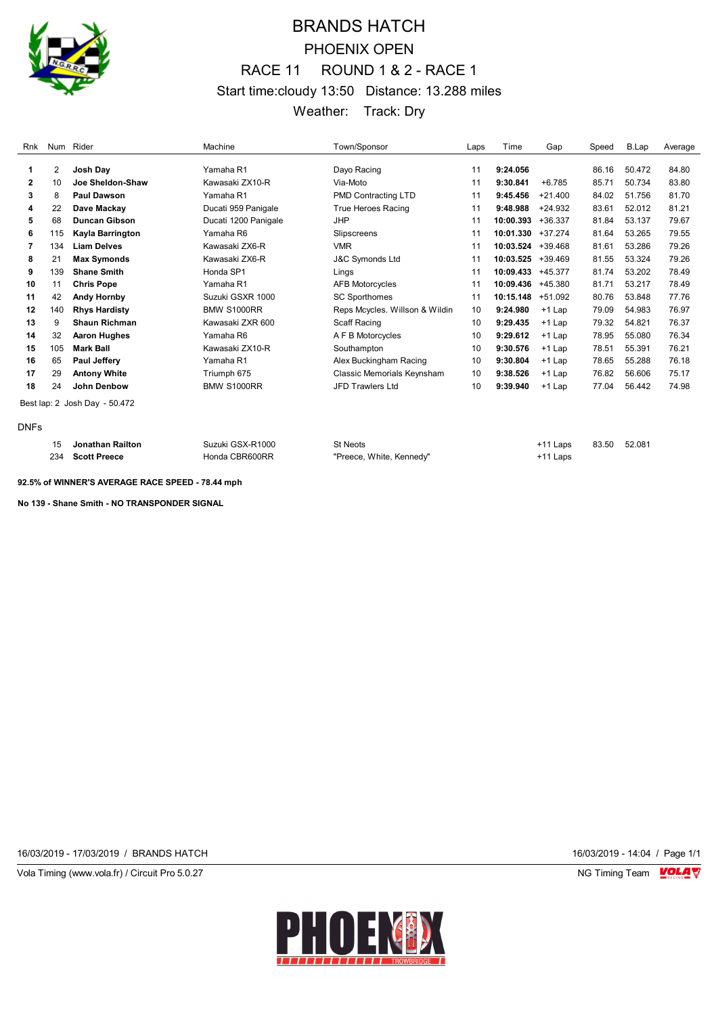

# BRANDS HATCH PHOENIX OPEN RACE 11 ROUND 1 & 2 - RACE 1 Start time:cloudy 13:50 Distance: 13.288 miles Weather: Track: Dry

| Rnk         |     | Num Rider                     | Machine              | Town/Sponsor                   | Laps | Time      | Gap       | Speed | B.Lap  | Average |
|-------------|-----|-------------------------------|----------------------|--------------------------------|------|-----------|-----------|-------|--------|---------|
|             | 2   | Josh Day                      | Yamaha R1            | Dayo Racing                    | 11   | 9:24.056  |           | 86.16 | 50.472 | 84.80   |
| 1           |     |                               |                      |                                |      |           |           |       |        |         |
| 2           | 10  | Joe Sheldon-Shaw              | Kawasaki ZX10-R      | Via-Moto                       | 11   | 9:30.841  | $+6.785$  | 85.71 | 50.734 | 83.80   |
| 3           | 8   | <b>Paul Dawson</b>            | Yamaha R1            | PMD Contracting LTD            | 11   | 9:45.456  | $+21.400$ | 84.02 | 51.756 | 81.70   |
| 4           | 22  | Dave Mackay                   | Ducati 959 Panigale  | <b>True Heroes Racing</b>      | 11   | 9:48.988  | $+24.932$ | 83.61 | 52.012 | 81.21   |
| 5           | 68  | <b>Duncan Gibson</b>          | Ducati 1200 Panigale | <b>JHP</b>                     | 11   | 10:00.393 | $+36.337$ | 81.84 | 53.137 | 79.67   |
| 6           | 115 | Kayla Barrington              | Yamaha R6            | Slipscreens                    | 11   | 10:01.330 | $+37.274$ | 81.64 | 53.265 | 79.55   |
| 7           | 134 | <b>Liam Delves</b>            | Kawasaki ZX6-R       | <b>VMR</b>                     | 11   | 10:03.524 | $+39.468$ | 81.61 | 53.286 | 79.26   |
| 8           | 21  | <b>Max Symonds</b>            | Kawasaki ZX6-R       | J&C Symonds Ltd                | 11   | 10:03.525 | +39.469   | 81.55 | 53.324 | 79.26   |
| 9           | 139 | <b>Shane Smith</b>            | Honda SP1            | Lings                          | 11   | 10:09.433 | +45.377   | 81.74 | 53.202 | 78.49   |
| 10          | 11  | <b>Chris Pope</b>             | Yamaha R1            | <b>AFB Motorcycles</b>         | 11   | 10:09.436 | +45.380   | 81.71 | 53.217 | 78.49   |
| 11          | 42  | <b>Andy Hornby</b>            | Suzuki GSXR 1000     | <b>SC Sporthomes</b>           | 11   | 10:15.148 | $+51.092$ | 80.76 | 53.848 | 77.76   |
| 12          | 140 | <b>Rhys Hardisty</b>          | <b>BMW S1000RR</b>   | Reps Mcycles. Willson & Wildin | 10   | 9:24.980  | $+1$ Lap  | 79.09 | 54.983 | 76.97   |
| 13          | 9   | <b>Shaun Richman</b>          | Kawasaki ZXR 600     | Scaff Racing                   | 10   | 9:29.435  | $+1$ Lap  | 79.32 | 54.821 | 76.37   |
| 14          | 32  | <b>Aaron Hughes</b>           | Yamaha R6            | A F B Motorcycles              | 10   | 9:29.612  | $+1$ Lap  | 78.95 | 55.080 | 76.34   |
| 15          | 105 | <b>Mark Ball</b>              | Kawasaki ZX10-R      | Southampton                    | 10   | 9:30.576  | $+1$ Lap  | 78.51 | 55.391 | 76.21   |
| 16          | 65  | <b>Paul Jeffery</b>           | Yamaha R1            | Alex Buckingham Racing         | 10   | 9:30.804  | $+1$ Lap  | 78.65 | 55.288 | 76.18   |
| 17          | 29  | <b>Antony White</b>           | Triumph 675          | Classic Memorials Keynsham     | 10   | 9:38.526  | $+1$ Lap  | 76.82 | 56.606 | 75.17   |
| 18          | 24  | John Denbow                   | <b>BMW S1000RR</b>   | JFD Trawlers Ltd               | 10   | 9:39.940  | +1 Lap    | 77.04 | 56.442 | 74.98   |
|             |     | Best lap: 2 Josh Day - 50.472 |                      |                                |      |           |           |       |        |         |
| <b>DNFs</b> |     |                               |                      |                                |      |           |           |       |        |         |

|     | Jonathan Railton    | Suzuki GSX-R1000 | St Neots                 | +11 Laps | 83.50 | 52.081 |
|-----|---------------------|------------------|--------------------------|----------|-------|--------|
| 234 | <b>Scott Preece</b> | Honda CBR600RR   | "Preece, White, Kennedy" | +11 Laps |       |        |

**92.5% of WINNER'S AVERAGE RACE SPEED - 78.44 mph**

**No 139 - Shane Smith - NO TRANSPONDER SIGNAL** 

16/03/2019 - 17/03/2019 / BRANDS HATCH 16/03/2019 - 14:04 / Page 1/1

Vola Timing (www.vola.fr) / Circuit Pro 5.0.27 NG Timing Team Monetary NG Timing Team Monetary

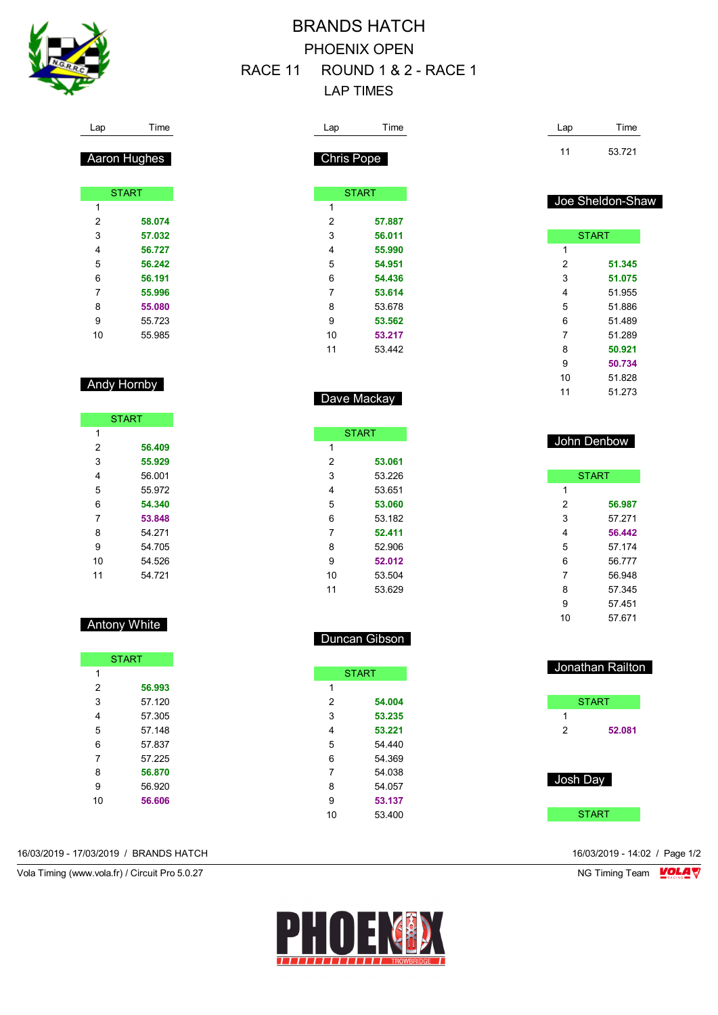

## BRANDS HATCH PHOENIX OPEN RACE 11 ROUND 1 & 2 - RACE 1 LAP TIMES

 **53.061** 53.226 53.651 **53.060** 53.182 **52.411** 52.906 **52.012** 53.504 53.629

Duncan Gibson

**START** 

 **54.004 53.235 53.221** 54.440 54.369 54.038 54.057 **53.137** 53.400

| Lap               | Time         | Lap            | Time             |
|-------------------|--------------|----------------|------------------|
| <b>Chris Pope</b> |              | 11             | 53.721           |
|                   | <b>START</b> |                |                  |
| $\mathbf{1}$      |              |                | Joe Sheldon-Shaw |
| $\overline{2}$    | 57.887       |                |                  |
| 3                 | 56.011       |                | <b>START</b>     |
| 4                 | 55.990       | 1              |                  |
| 5                 | 54.951       | 2              | 51.345           |
| 6                 | 54.436       | 3              | 51.075           |
| 7                 | 53.614       | 4              | 51.955           |
| 8                 | 53.678       | 5              | 51.886           |
| 9                 | 53.562       | 6              | 51.489           |
| 10                | 53.217       | $\overline{7}$ | 51.289           |
| 11                | 53.442       | 8              | 50.921           |
|                   |              | 9              | 50.734           |
|                   |              | 10             | 51.828           |
|                   | Dave Mackay  | 11             | 51.273           |
|                   |              |                |                  |
| <b>START</b><br>4 |              |                | John Denbow      |

|    | <b>START</b> |  |  |  |
|----|--------------|--|--|--|
| 1  |              |  |  |  |
| 2  | 56.987       |  |  |  |
| 3  | 57 271       |  |  |  |
| 4  | 56.442       |  |  |  |
| 5  | 57 174       |  |  |  |
| 6  | 56.777       |  |  |  |
| 7  | 56 948       |  |  |  |
| 8  | 57 345       |  |  |  |
| 9  | 57.451       |  |  |  |
| 10 | 57.671       |  |  |  |

|          | Jonathan Railton |
|----------|------------------|
|          | <b>START</b>     |
| 1        |                  |
| 2        | 52.081           |
| Josh Day |                  |
|          | <b>START</b>     |

Lap Time

| Aaron Hughes |
|--------------|
|              |

|    | <b>START</b> |
|----|--------------|
| 1  |              |
| 2  | 58.074       |
| 3  | 57.032       |
| 4  | 56.727       |
| 5  | 56.242       |
| 6  | 56.191       |
| 7  | 55.996       |
| 8  | 55.080       |
| 9  | 55.723       |
| 10 | 55 985       |

#### Andy Hornby

| <b>START</b> |        |  |
|--------------|--------|--|
| 1            |        |  |
| 2            | 56.409 |  |
| 3            | 55.929 |  |
| 4            | 56.001 |  |
| 5            | 55.972 |  |
| 6            | 54.340 |  |
| 7            | 53.848 |  |
| 8            | 54 271 |  |
| 9            | 54 705 |  |
| 10           | 54 526 |  |
| 11           | 54 721 |  |

## Antony White

| <b>START</b> |        |  |
|--------------|--------|--|
| 1            |        |  |
| 2            | 56.993 |  |
| 3            | 57.120 |  |
| 4            | 57.305 |  |
| 5            | 57 148 |  |
| 6            | 57837  |  |
| 7            | 57 225 |  |
| 8            | 56.870 |  |
| 9            | 56.920 |  |
| 10           | 56.606 |  |
|              |        |  |

16/03/2019 - 17/03/2019 / BRANDS HATCH 16/03/2019 - 14:02 / Page 1/2

Vola Timing (www.vola.fr) / Circuit Pro 5.0.27 NG Timing Team NG Timing Team NG Timing Team NG Timing Team NG

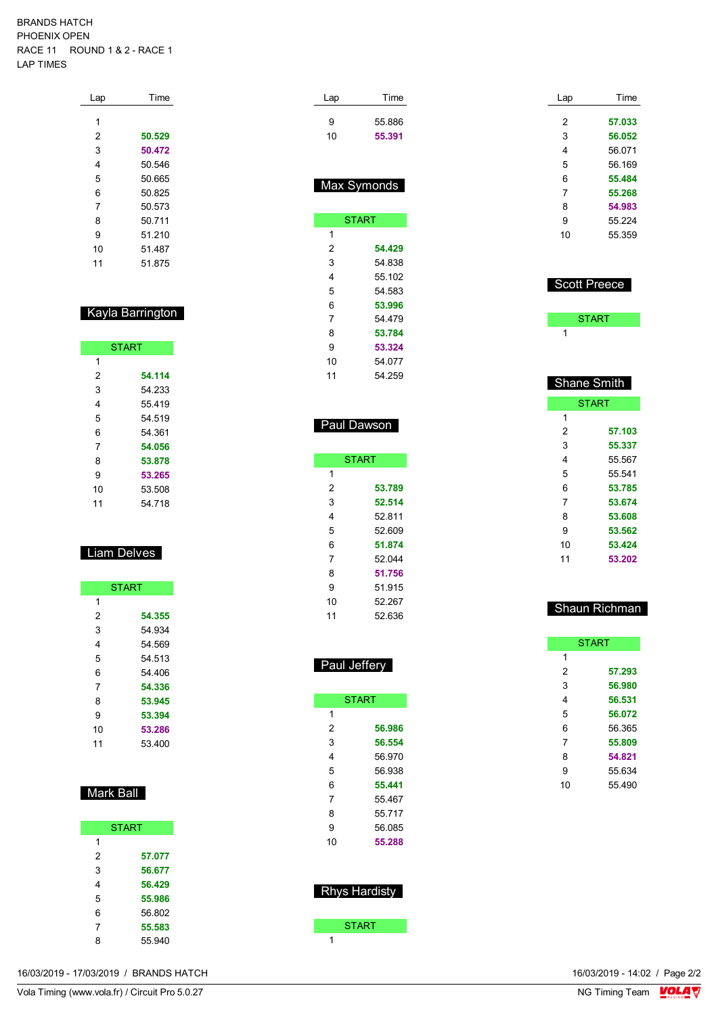#### BRANDS HATCH PHOENIX OPEN RACE 11 ROUND 1 & 2 - RACE 1 LAP TIMES

| Lap | Time   |
|-----|--------|
| 1   |        |
| 2   | 50.529 |
| 3   | 50.472 |
| 4   | 50.546 |
| 5   | 50.665 |
| 6   | 50825  |
| 7   | 50.573 |
| 8   | 50 711 |
| 9   | 51 210 |
| 10  | 51.487 |
| 11  | 51875  |

#### Kayla Barrington

|    | <b>START</b> |
|----|--------------|
| 1  |              |
| 2  | 54.114       |
| 3  | 54 233       |
| 4  | 55419        |
| 5  | 54 519       |
| 6  | 54 361       |
| 7  | 54.056       |
| 8  | 53.878       |
| 9  | 53.265       |
| 10 | 53.508       |
| 11 | 54.718       |
|    |              |

## Liam Delves

|    | <b>START</b> |
|----|--------------|
| 1  |              |
| 2  | 54.355       |
| 3  | 54 934       |
| 4  | 54 569       |
| 5  | 54 513       |
| 6  | 54 406       |
| 7  | 54.336       |
| 8  | 53.945       |
| 9  | 53.394       |
| 10 | 53.286       |
| 11 | 53 400       |

## Mark Ball

| <b>START</b> |        |  |
|--------------|--------|--|
| 1            |        |  |
| 2            | 57.077 |  |
| 3            | 56.677 |  |
| 4            | 56.429 |  |
| 5            | 55.986 |  |
| 6            | 56.802 |  |
| 7            | 55.583 |  |
| 8            | 55.940 |  |

| Time         |
|--------------|
| 55.886       |
| 55.391       |
|              |
|              |
| Max Symonds  |
| <b>START</b> |
|              |
| 54.429       |
| 54 838       |
| 55.102       |
| 54.583       |
| 53.996       |
| 54 479       |
| 53.784       |
| 53.324       |
| 54.077       |
| 54 259       |
|              |
|              |

## Paul Dawson

|    | <b>START</b> |
|----|--------------|
| 1  |              |
| 2  | 53.789       |
| 3  | 52.514       |
| 4  | 52 811       |
| 5  | 52.609       |
| 6  | 51.874       |
| 7  | 52 044       |
| 8  | 51.756       |
| 9  | 51.915       |
| 10 | 52.267       |
| 11 | 52 636       |
|    |              |

## Paul Jeffery

| <b>START</b> |        |  |  |  |  |  |  |  |  |  |
|--------------|--------|--|--|--|--|--|--|--|--|--|
| 1            |        |  |  |  |  |  |  |  |  |  |
| 2            | 56.986 |  |  |  |  |  |  |  |  |  |
| 3            | 56.554 |  |  |  |  |  |  |  |  |  |
| 4            | 56 970 |  |  |  |  |  |  |  |  |  |
| 5            | 56 938 |  |  |  |  |  |  |  |  |  |
| 6            | 55.441 |  |  |  |  |  |  |  |  |  |
| 7            | 55 467 |  |  |  |  |  |  |  |  |  |
| 8            | 55 717 |  |  |  |  |  |  |  |  |  |
| 9            | 56 085 |  |  |  |  |  |  |  |  |  |
| 10           | 55.288 |  |  |  |  |  |  |  |  |  |

# Rhys Hardisty

START **ST** 

| Time   |  |  |  |  |  |  |
|--------|--|--|--|--|--|--|
| 57.033 |  |  |  |  |  |  |
| 56.052 |  |  |  |  |  |  |
| 56.071 |  |  |  |  |  |  |
| 56 169 |  |  |  |  |  |  |
| 55.484 |  |  |  |  |  |  |
| 55.268 |  |  |  |  |  |  |
| 54.983 |  |  |  |  |  |  |
| 55 224 |  |  |  |  |  |  |
| 55.359 |  |  |  |  |  |  |
|        |  |  |  |  |  |  |

#### Scott Preece

**START** 

## Shane Smith

|    | <b>START</b> |
|----|--------------|
| 1  |              |
| 2  | 57.103       |
| 3  | 55.337       |
| 4  | 55.567       |
| 5  | 55 541       |
| 6  | 53.785       |
| 7  | 53.674       |
| 8  | 53.608       |
| 9  | 53.562       |
| 10 | 53.424       |
| 11 | 53.202       |
|    |              |

## Shaun Richman

|    | <b>START</b> |
|----|--------------|
| 1  |              |
| 2  | 57.293       |
| 3  | 56.980       |
| 4  | 56.531       |
| 5  | 56.072       |
| 6  | 56.365       |
| 7  | 55.809       |
| 8  | 54.821       |
| 9  | 55.634       |
| 10 | 55.490       |
|    |              |

16/03/2019 - 17/03/2019 / BRANDS HATCH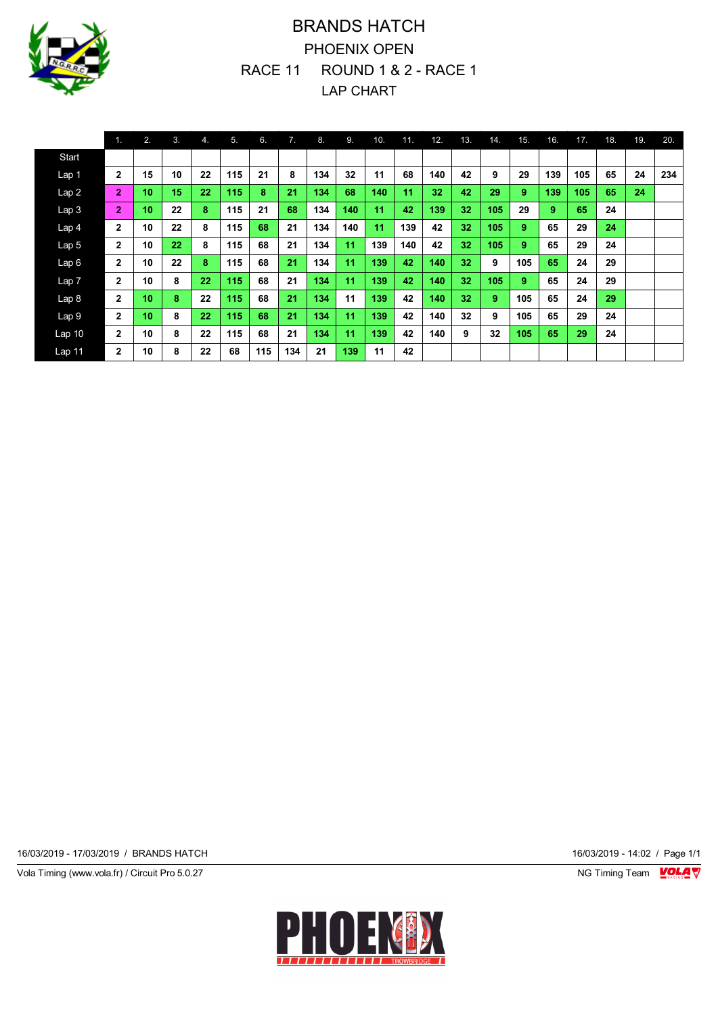

# BRANDS HATCH PHOENIX OPEN RACE 11 ROUND 1 & 2 - RACE 1 LAP CHART

|                   | 1.             | 2. | 3. | 4. | 5.  | 6.  | 7.  | 8.  | 9.  | 10. | 11. | 12. | 13. | 14. | 15. | 16. | 17. | 18. | 19. | 20. |
|-------------------|----------------|----|----|----|-----|-----|-----|-----|-----|-----|-----|-----|-----|-----|-----|-----|-----|-----|-----|-----|
| Start             |                |    |    |    |     |     |     |     |     |     |     |     |     |     |     |     |     |     |     |     |
| Lap 1             | $\mathbf{2}$   | 15 | 10 | 22 | 115 | 21  | 8   | 134 | 32  | 11  | 68  | 140 | 42  | 9   | 29  | 139 | 105 | 65  | 24  | 234 |
| Lap2              | $\overline{2}$ | 10 | 15 | 22 | 115 | 8   | 21  | 134 | 68  | 140 | 11  | 32  | 42  | 29  | 9   | 139 | 105 | 65  | 24  |     |
| Lap <sub>3</sub>  | $\overline{2}$ | 10 | 22 | 8  | 115 | 21  | 68  | 134 | 140 | 11  | 42  | 139 | 32  | 105 | 29  | 9   | 65  | 24  |     |     |
| Lap <sub>4</sub>  | $\overline{2}$ | 10 | 22 | 8  | 115 | 68  | 21  | 134 | 140 | 11  | 139 | 42  | 32  | 105 | 9   | 65  | 29  | 24  |     |     |
| Lap <sub>5</sub>  | $\mathbf{2}$   | 10 | 22 | 8  | 115 | 68  | 21  | 134 | 11  | 139 | 140 | 42  | 32  | 105 | 9   | 65  | 29  | 24  |     |     |
| Lap6              | $\mathbf{2}$   | 10 | 22 | 8  | 115 | 68  | 21  | 134 | 11  | 139 | 42  | 140 | 32  | 9   | 105 | 65  | 24  | 29  |     |     |
| Lap <sub>7</sub>  | $\mathbf{2}$   | 10 | 8  | 22 | 115 | 68  | 21  | 134 | 11  | 139 | 42  | 140 | 32  | 105 | 9   | 65  | 24  | 29  |     |     |
| Lap <sub>8</sub>  | $\mathbf{2}$   | 10 | 8  | 22 | 115 | 68  | 21  | 134 | 11  | 139 | 42  | 140 | 32  | 9   | 105 | 65  | 24  | 29  |     |     |
| Lap <sub>9</sub>  | $\mathbf{2}$   | 10 | 8  | 22 | 115 | 68  | 21  | 134 | 11  | 139 | 42  | 140 | 32  | 9   | 105 | 65  | 29  | 24  |     |     |
| Lap <sub>10</sub> | $\mathbf{2}$   | 10 | 8  | 22 | 115 | 68  | 21  | 134 | 11  | 139 | 42  | 140 | 9   | 32  | 105 | 65  | 29  | 24  |     |     |
| Lap 11            | $\mathbf{2}$   | 10 | 8  | 22 | 68  | 115 | 134 | 21  | 139 | 11  | 42  |     |     |     |     |     |     |     |     |     |

16/03/2019 - 17/03/2019 / BRANDS HATCH 16/03/2019 - 14:02 / Page 1/1

Vola Timing (www.vola.fr) / Circuit Pro 5.0.27 **NG Timing Team Monet Account Property**